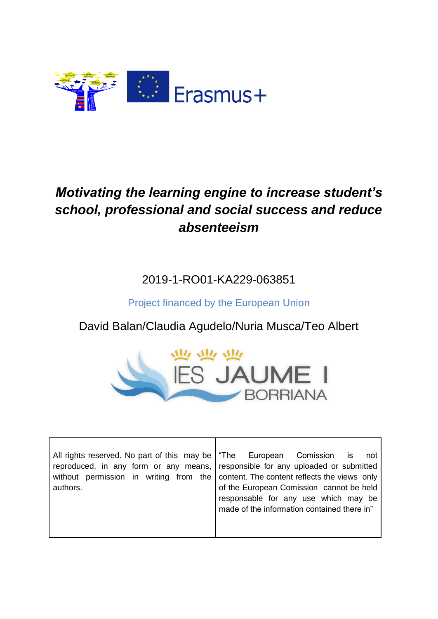

## *Motivating the learning engine to increase student's school, professional and social success and reduce absenteeism*

2019-1-RO01-KA229-063851

Project financed by the European Union

David Balan/Claudia Agudelo/Nuria Musca/Teo Albert



| All rights reserved. No part of this may be   "The European Comission is | not<br>reproduced, in any form or any means, responsible for any uploaded or submitted                                                                                                                                 |
|--------------------------------------------------------------------------|------------------------------------------------------------------------------------------------------------------------------------------------------------------------------------------------------------------------|
| authors.                                                                 | without permission in writing from the content. The content reflects the views only<br>of the European Comission cannot be held<br>responsable for any use which may be<br>made of the information contained there in" |

Г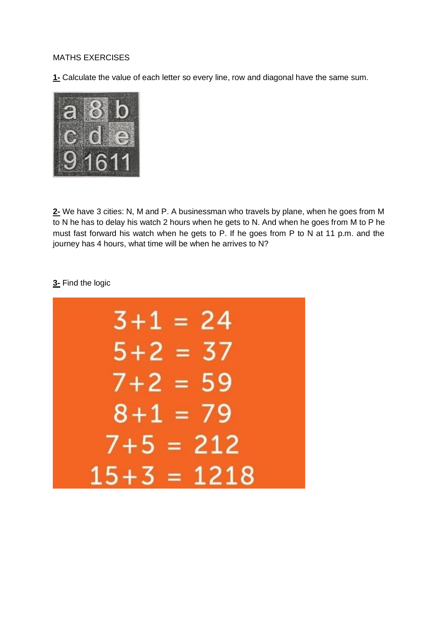## MATHS EXERCISES

**1-** Calculate the value of each letter so every line, row and diagonal have the same sum.



**2-** We have 3 cities: N, M and P. A businessman who travels by plane, when he goes from M to N he has to delay his watch 2 hours when he gets to N. And when he goes from M to P he must fast forward his watch when he gets to P. If he goes from P to N at 11 p.m. and the journey has 4 hours, what time will be when he arrives to N?

## **3-** Find the logic

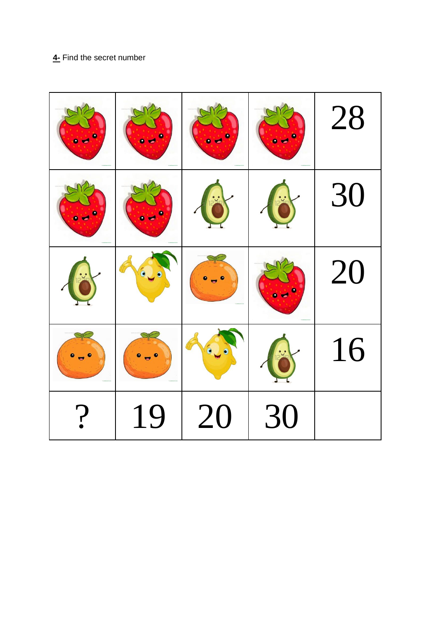## **4-** Find the secret number

|                        | ٠                        |           | 28 |
|------------------------|--------------------------|-----------|----|
|                        | $rac{1}{2}$              | $\cdot$ . | 30 |
| $\bullet$<br>$\bullet$ | $\overline{\phantom{a}}$ |           | 20 |
|                        | $\bullet$ $\bullet$      |           | 16 |
| 19                     | <b>20</b>                | 30        |    |